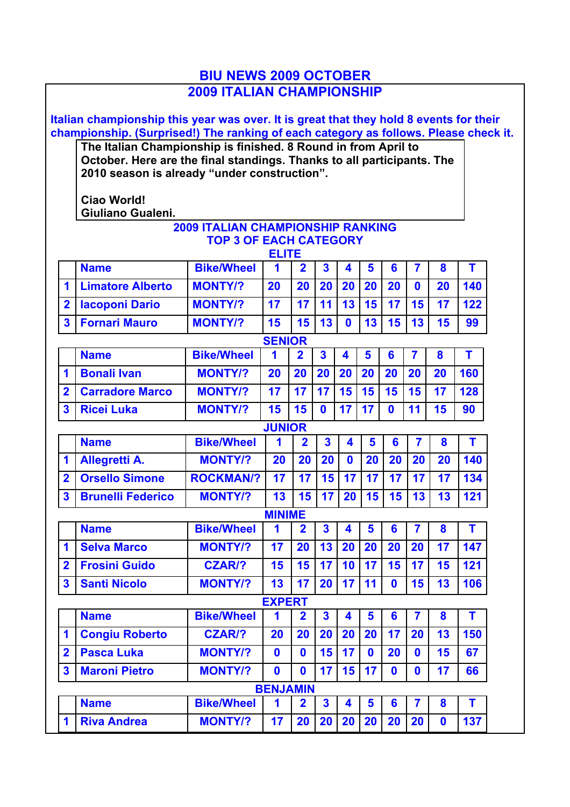# **BIU NEWS 2009 OCTOBER 2009 ITALIAN CHAMPIONSHIP**

**Italian championship this year was over. It is great that they hold 8 events for their championship. (Surprised!) The ranking of each category as follows. Please check it.**

**The Italian Championship is finished. 8 Round in from April to October. Here are the final standings. Thanks to all participants. The 2010 season is already "under construction".**

**Ciao World! Giuliano Gualeni.**

#### **2009 ITALIAN CHAMPIONSHIP RANKING TOP 3 OF EACH CATEGORY ELITE**

|                         | 드니비드                     |                   |               |                         |                         |                         |                |                |                         |             |     |
|-------------------------|--------------------------|-------------------|---------------|-------------------------|-------------------------|-------------------------|----------------|----------------|-------------------------|-------------|-----|
|                         | <b>Name</b>              | <b>Bike/Wheel</b> | 1             | $\overline{\mathbf{2}}$ | $\overline{\mathbf{3}}$ | $\overline{\mathbf{4}}$ | 5              | 6              | $\overline{7}$          | 8           | T   |
| 1                       | <b>Limatore Alberto</b>  | <b>MONTY/?</b>    | 20            | 20                      | 20                      | 20                      | 20             | 20             | $\mathbf{0}$            | 20          | 140 |
| $\overline{\mathbf{2}}$ | <b>Iacoponi Dario</b>    | <b>MONTY/?</b>    | 17            | 17                      | 11                      | 13                      | 15             | 17             | 15                      | 17          | 122 |
| $\overline{\mathbf{3}}$ | <b>Fornari Mauro</b>     | <b>MONTY/?</b>    | 15            | 15                      | 13                      | $\mathbf 0$             | 13             | 15             | 13                      | 15          | 99  |
| <b>SENIOR</b>           |                          |                   |               |                         |                         |                         |                |                |                         |             |     |
|                         | <b>Name</b>              | <b>Bike/Wheel</b> | 1             | $\overline{2}$          | $\overline{\mathbf{3}}$ | 4                       | 5              | 6              | $\overline{7}$          | 8           | T   |
| $\overline{\mathbf{1}}$ | <b>Bonali Ivan</b>       | <b>MONTY/?</b>    | 20            | 20                      | 20                      | 20                      | 20             | 20             | 20                      | 20          | 160 |
| $\overline{\mathbf{2}}$ | <b>Carradore Marco</b>   | <b>MONTY/?</b>    | 17            | 17                      | 17                      | 15                      | 15             | 15             | 15                      | 17          | 128 |
| 3                       | <b>Ricei Luka</b>        | <b>MONTY/?</b>    | 15            | 15                      | $\mathbf{0}$            | 17                      | 17             | $\mathbf{0}$   | 11                      | 15          | 90  |
|                         | <b>JUNIOR</b>            |                   |               |                         |                         |                         |                |                |                         |             |     |
|                         | <b>Name</b>              | <b>Bike/Wheel</b> | 1             | $\overline{2}$          | $\overline{\mathbf{3}}$ | 4                       | $5\phantom{1}$ | $6\phantom{a}$ | $\overline{7}$          | 8           | T   |
| 1                       | Allegretti A.            | <b>MONTY/?</b>    | 20            | 20                      | 20                      | $\bf{0}$                | 20             | 20             | 20                      | 20          | 140 |
| $\overline{2}$          | <b>Orsello Simone</b>    | <b>ROCKMAN/?</b>  | 17            | 17                      | 15                      | 17                      | 17             | 17             | 17                      | 17          | 134 |
| $\overline{\mathbf{3}}$ | <b>Brunelli Federico</b> | <b>MONTY/?</b>    | 13            | 15                      | 17                      | 20                      | 15             | 15             | 13                      | 13          | 121 |
| <b>MINIME</b>           |                          |                   |               |                         |                         |                         |                |                |                         |             |     |
|                         | <b>Name</b>              | <b>Bike/Wheel</b> | 1             | $\overline{2}$          | $\overline{\mathbf{3}}$ | $\blacktriangle$        | 5              | 6              | $\overline{7}$          | 8           | T   |
| 1                       | <b>Selva Marco</b>       | <b>MONTY/?</b>    | 17            | 20                      | 13                      | 20                      | 20             | 20             | 20                      | 17          | 147 |
| $\overline{2}$          | <b>Frosini Guido</b>     | <b>CZAR/?</b>     | 15            | 15                      | 17                      | 10                      | 17             | 15             | 17                      | 15          | 121 |
| $\overline{\mathbf{3}}$ | <b>Santi Nicolo</b>      | <b>MONTY/?</b>    | 13            | 17                      | 20                      | 17                      | 11             | $\mathbf{0}$   | 15                      | 13          | 106 |
|                         |                          |                   | <b>EXPERT</b> |                         |                         |                         |                |                |                         |             |     |
|                         | <b>Name</b>              | <b>Bike/Wheel</b> | 1             | $\overline{\mathbf{2}}$ | $\overline{\mathbf{3}}$ | $\overline{\mathbf{4}}$ | 5              | $6\phantom{a}$ | $\overline{7}$          | 8           | T   |
| 1                       | <b>Congiu Roberto</b>    | <b>CZAR/?</b>     | 20            | 20                      | 20                      | 20                      | 20             | 17             | 20                      | 13          | 150 |
| $\overline{2}$          | <b>Pasca Luka</b>        | <b>MONTY/?</b>    | $\bf{0}$      | $\mathbf 0$             | 15                      | 17                      | $\mathbf{0}$   | 20             | $\bf{0}$                | 15          | 67  |
| 3                       | <b>Maroni Pietro</b>     | <b>MONTY/?</b>    | $\mathbf{0}$  | $\mathbf{0}$            | 17                      | 15                      | 17             | $\mathbf{0}$   | $\bf{0}$                | 17          | 66  |
| <b>BENJAMIN</b>         |                          |                   |               |                         |                         |                         |                |                |                         |             |     |
|                         | <b>Name</b>              | <b>Bike/Wheel</b> | 1             | $\overline{\mathbf{2}}$ | $\overline{\mathbf{3}}$ | $\overline{\mathbf{4}}$ | $5\phantom{a}$ | 6              | $\overline{\mathbf{7}}$ | 8           | T   |
| 1                       | <b>Riva Andrea</b>       | <b>MONTY/?</b>    | 17            | 20                      | 20                      | 20                      | 20             | 20             | 20                      | $\mathbf 0$ | 137 |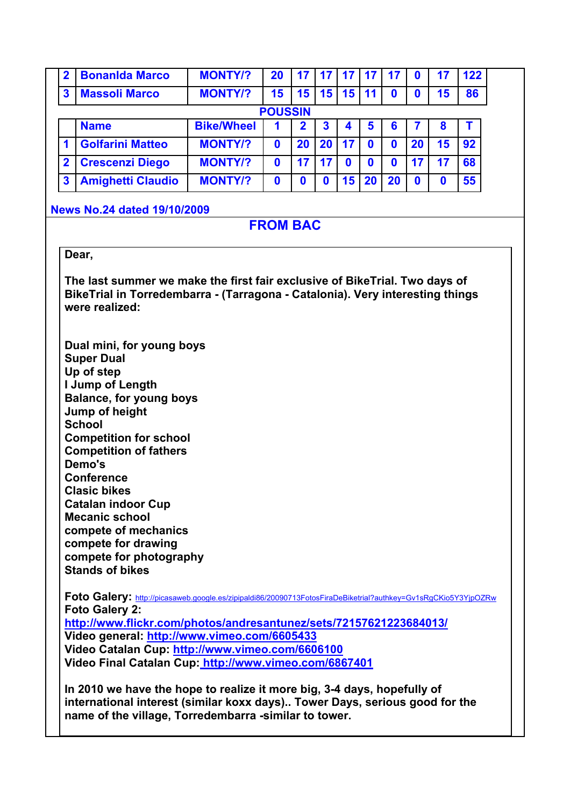| 2 | <b>Bonanida Marco</b>    | <b>MONTY/?</b>    | 20             | 17 | 17        |    |   |    |    |                 | 122 |
|---|--------------------------|-------------------|----------------|----|-----------|----|---|----|----|-----------------|-----|
| 3 | <b>Massoli Marco</b>     | <b>MONTY/?</b>    | 15             | 15 | 15        | 15 |   |    |    | 15 <sub>1</sub> | 86  |
|   |                          |                   | <b>POUSSIN</b> |    |           |    |   |    |    |                 |     |
|   | <b>Name</b>              | <b>Bike/Wheel</b> |                | 2  | 3         |    | 5 | 6  |    |                 |     |
|   | <b>Golfarini Matteo</b>  | <b>MONTY/?</b>    | 0              | 20 | <b>20</b> | 17 |   |    | 20 | 15              | 92  |
| 2 | <b>Crescenzi Diego</b>   | <b>MONTY/?</b>    | Ω              | 17 | 17        |    |   |    |    |                 | 68  |
| 3 | <b>Amighetti Claudio</b> | <b>MONTY/?</b>    | 0              |    |           | 15 |   | 20 |    |                 | 55  |

### **News No.24 dated 19/10/2009**

# **FROM BAC**

## **Dear,**

**The last summer we make the first fair exclusive of BikeTrial. Two days of BikeTrial in Torredembarra - (Tarragona - Catalonia). Very interesting things were realized:** 

**Dual mini, for young boys Super Dual Up of step I Jump of Length Balance, for young boys Jump of height School Competition for school Competition of fathers Demo's Conference Clasic bikes Catalan indoor Cup Mecanic school compete of mechanics compete for drawing compete for photography Stands of bikes**

**Foto Galery:** http://picasaweb.google.es/zipipaldi86/20090713FotosFiraDeBiketrial?authkey=Gv1sRgCKio5Y3YjpOZRw **Foto Galery 2:**

**http://www.flickr.com/photos/andresantunez/sets/72157621223684013/ Video general: http://www.vimeo.com/6605433 Video Catalan Cup: http://www.vimeo.com/6606100 Video Final Catalan Cup: http://www.vimeo.com/6867401**

**In 2010 we have the hope to realize it more big, 3-4 days, hopefully of international interest (similar koxx days).. Tower Days, serious good for the name of the village, Torredembarra -similar to tower.**